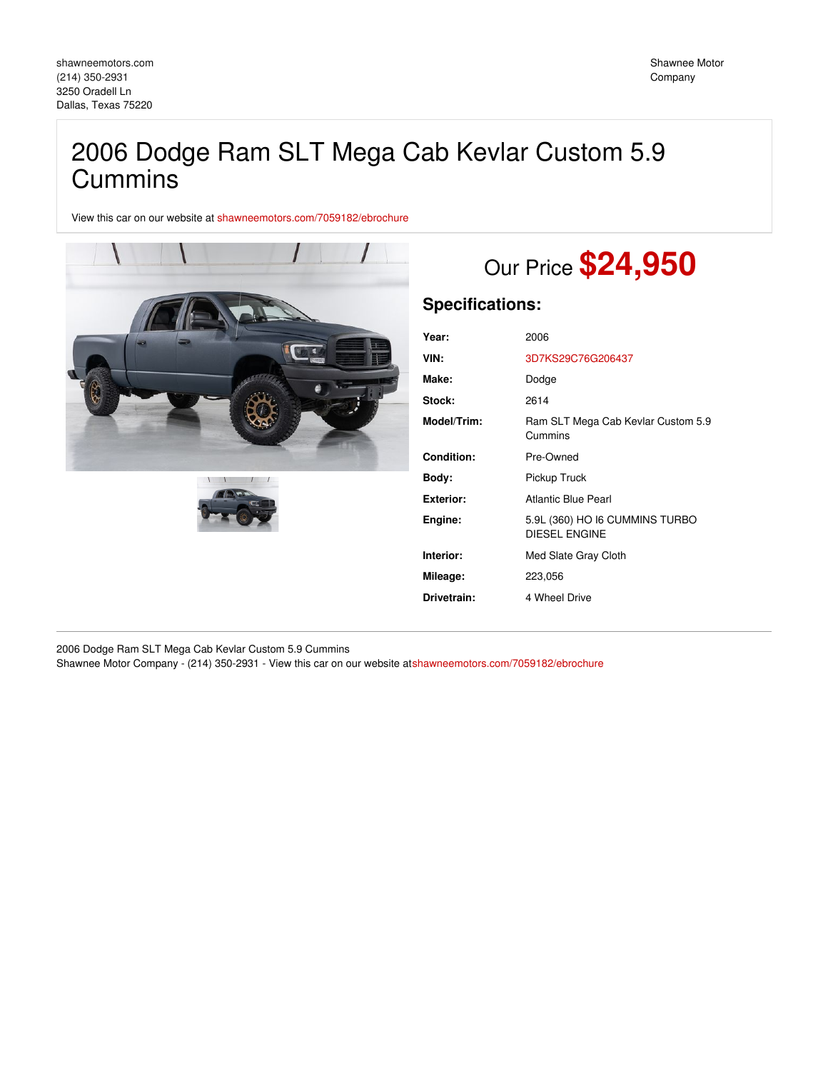## 2006 Dodge Ram SLT Mega Cab Kevlar Custom 5.9 **Cummins**

View this car on our website at [shawneemotors.com/7059182/ebrochure](https://shawneemotors.com/vehicle/7059182/2006-dodge-ram-slt-mega-cab-kevlar-custom-5-9-cummins-dallas-texas-75220/7059182/ebrochure)





# Our Price **\$24,950**

## **Specifications:**

| Year:            | 2006                                                   |
|------------------|--------------------------------------------------------|
| VIN:             | 3D7KS29C76G206437                                      |
| Make:            | Dodge                                                  |
| Stock:           | 2614                                                   |
| Model/Trim:      | Ram SLT Mega Cab Kevlar Custom 5.9<br>Cummins          |
| Condition:       | Pre-Owned                                              |
| Body:            | Pickup Truck                                           |
| <b>Exterior:</b> | Atlantic Blue Pearl                                    |
| Engine:          | 5.9L (360) HO I6 CUMMINS TURBO<br><b>DIESEL ENGINE</b> |
| Interior:        | Med Slate Gray Cloth                                   |
| Mileage:         | 223,056                                                |
| Drivetrain:      | 4 Wheel Drive                                          |

2006 Dodge Ram SLT Mega Cab Kevlar Custom 5.9 Cummins Shawnee Motor Company - (214) 350-2931 - View this car on our website a[tshawneemotors.com/7059182/ebrochure](https://shawneemotors.com/vehicle/7059182/2006-dodge-ram-slt-mega-cab-kevlar-custom-5-9-cummins-dallas-texas-75220/7059182/ebrochure)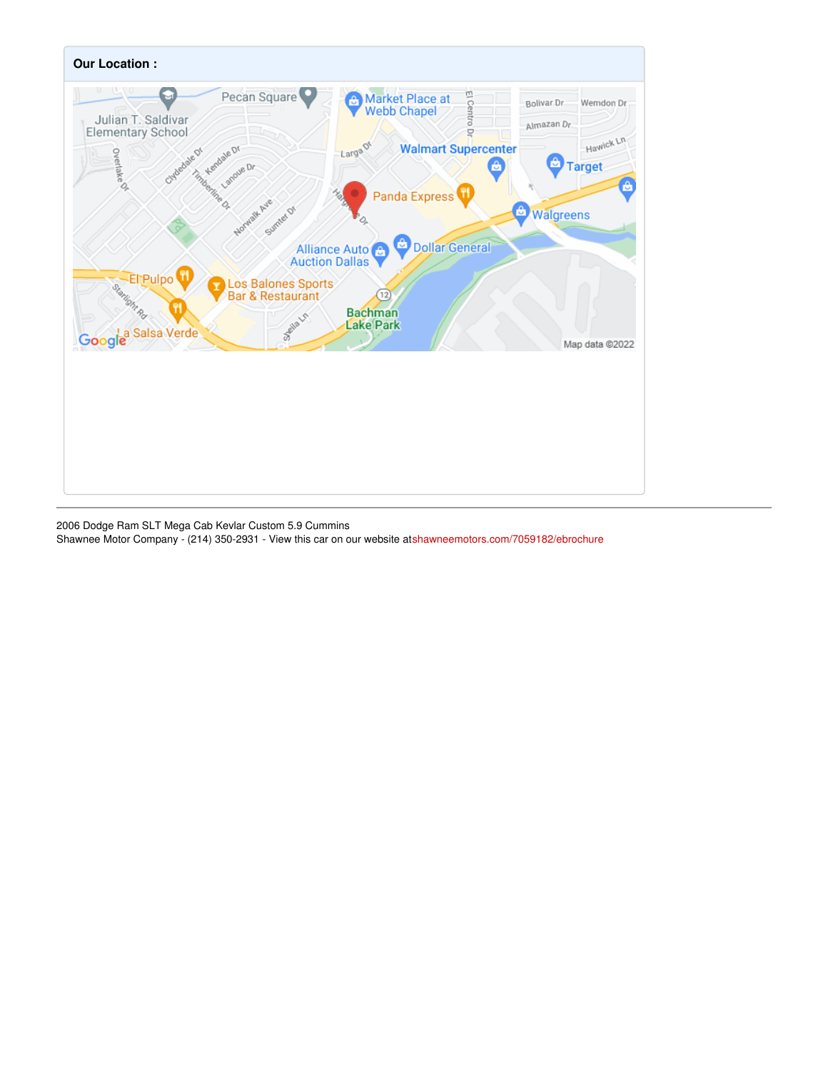

2006 Dodge Ram SLT Mega Cab Kevlar Custom 5.9 Cummins Shawnee Motor Company - (214) 350-2931 - View this car on our website a[tshawneemotors.com/7059182/ebrochure](https://shawneemotors.com/vehicle/7059182/2006-dodge-ram-slt-mega-cab-kevlar-custom-5-9-cummins-dallas-texas-75220/7059182/ebrochure)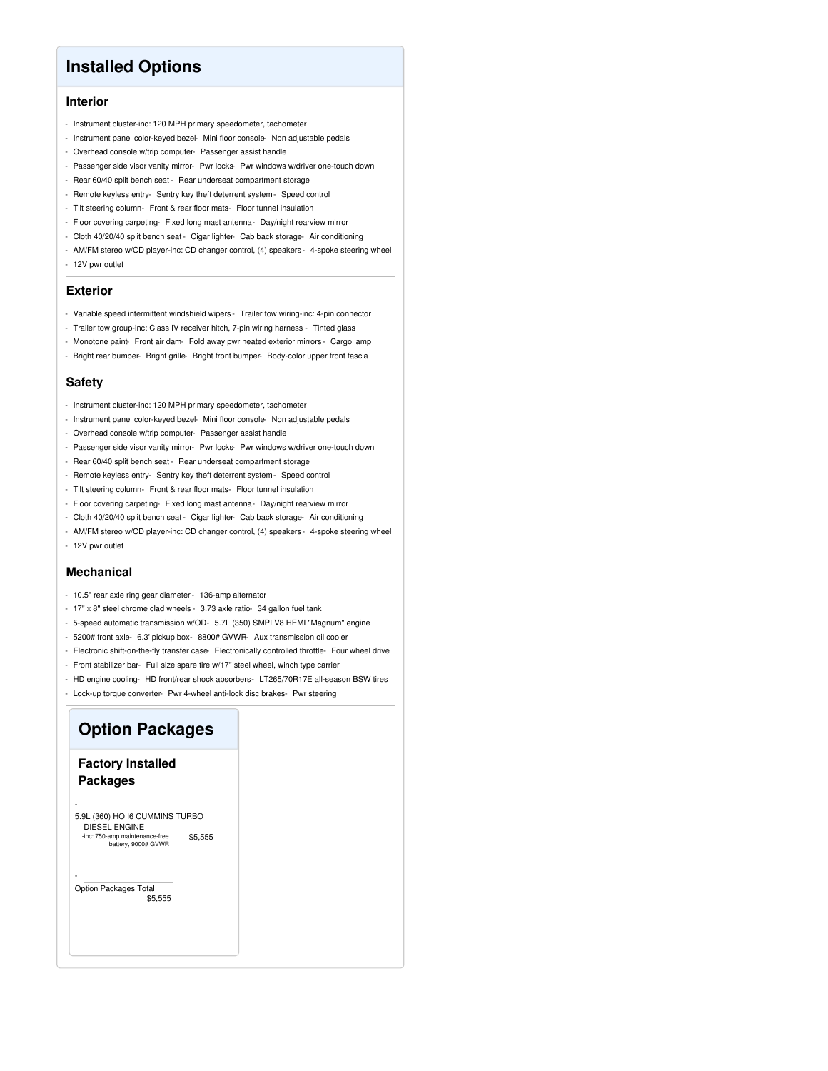## **Installed Options**

#### **Interior**

- Instrument cluster-inc: 120 MPH primary speedometer, tachometer
- Instrument panel color-keyed bezel- Mini floor console- Non adjustable pedals
- Overhead console w/trip computer- Passenger assist handle
- Passenger side visor vanity mirror- Pwr locks- Pwr windows w/driver one-touch down
- Rear 60/40 split bench seat Rear underseat compartment storage
- Remote keyless entry- Sentry key theft deterrent system- Speed control
- Tilt steering column- Front & rear floor mats- Floor tunnel insulation
- Floor covering carpeting- Fixed long mast antenna- Day/night rearview mirror
- Cloth 40/20/40 split bench seat Cigar lighter- Cab back storage- Air conditioning
- AM/FM stereo w/CD player-inc: CD changer control, (4) speakers 4-spoke steering wheel - 12V pwr outlet

#### **Exterior**

- Variable speed intermittent windshield wipers Trailer tow wiring-inc: 4-pin connector
- Trailer tow group-inc: Class IV receiver hitch, 7-pin wiring harness Tinted glass
- Monotone paint- Front air dam- Fold away pwr heated exterior mirrors Cargo lamp
- Bright rear bumper- Bright grille- Bright front bumper- Body-color upper front fascia

#### **Safety**

- Instrument cluster-inc: 120 MPH primary speedometer, tachometer
- Instrument panel color-keyed bezel- Mini floor console- Non adjustable pedals
- Overhead console w/trip computer- Passenger assist handle
- Passenger side visor vanity mirror- Pwr locks- Pwr windows w/driver one-touch down
- Rear 60/40 split bench seat Rear underseat compartment storage
- Remote keyless entry- Sentry key theft deterrent system- Speed control
- Tilt steering column- Front & rear floor mats- Floor tunnel insulation
- Floor covering carpeting- Fixed long mast antenna- Day/night rearview mirror
- Cloth 40/20/40 split bench seat Cigar lighter- Cab back storage- Air conditioning
- AM/FM stereo w/CD player-inc: CD changer control, (4) speakers 4-spoke steering wheel
- 12V pwr outlet

#### **Mechanical**

- 10.5" rear axle ring gear diameter- 136-amp alternator
- 17" x 8" steel chrome clad wheels 3.73 axle ratio- 34 gallon fuel tank
- 5-speed automatic transmission w/OD- 5.7L (350) SMPI V8 HEMI "Magnum" engine
- 5200# front axle- 6.3' pickup box- 8800# GVWR- Aux transmission oil cooler
- Electronic shift-on-the-fly transfer case- Electronically controlled throttle- Four wheel drive
- Front stabilizer bar- Full size spare tire w/17" steel wheel, winch type carrier
- HD engine cooling- HD front/rear shock absorbers- LT265/70R17E all-season BSW tires
- Lock-up torque converter- Pwr 4-wheel anti-lock disc brakes- Pwr steering

## **Option Packages**

#### **Factory Installed Packages**

\$5,555 - 5.9L (360) HO I6 CUMMINS TURBO DIESEL ENGINE -inc: 750-amp maintenance-free battery, 9000# GVWR

\$5,555 Option Packages Total

-